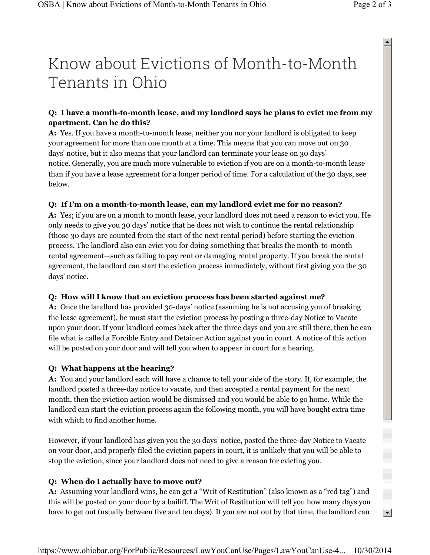# Know about Evictions of Month-to-Month Tenants in Ohio

 $\blacktriangle$ 

 $\left| \cdot \right|$ 

# **Q: I have a month-to-month lease, and my landlord says he plans to evict me from my apartment. Can he do this?**

**A:** Yes. If you have a month-to-month lease, neither you nor your landlord is obligated to keep your agreement for more than one month at a time. This means that you can move out on 30 days' notice, but it also means that your landlord can terminate your lease on 30 days' notice. Generally, you are much more vulnerable to eviction if you are on a month-to-month lease than if you have a lease agreement for a longer period of time. For a calculation of the 30 days, see below.

## **Q: If I'm on a month-to-month lease, can my landlord evict me for no reason?**

**A:** Yes; if you are on a month to month lease, your landlord does not need a reason to evict you. He only needs to give you 30 days' notice that he does not wish to continue the rental relationship (those 30 days are counted from the start of the next rental period) before starting the eviction process. The landlord also can evict you for doing something that breaks the month-to-month rental agreement—such as failing to pay rent or damaging rental property. If you break the rental agreement, the landlord can start the eviction process immediately, without first giving you the 30 days' notice.

#### **Q: How will I know that an eviction process has been started against me?**

**A:** Once the landlord has provided 30-days' notice (assuming he is not accusing you of breaking the lease agreement), he must start the eviction process by posting a three-day Notice to Vacate upon your door. If your landlord comes back after the three days and you are still there, then he can file what is called a Forcible Entry and Detainer Action against you in court. A notice of this action will be posted on your door and will tell you when to appear in court for a hearing.

# **Q: What happens at the hearing?**

**A:** You and your landlord each will have a chance to tell your side of the story. If, for example, the landlord posted a three-day notice to vacate, and then accepted a rental payment for the next month, then the eviction action would be dismissed and you would be able to go home. While the landlord can start the eviction process again the following month, you will have bought extra time with which to find another home.

However, if your landlord has given you the 30 days' notice, posted the three-day Notice to Vacate on your door, and properly filed the eviction papers in court, it is unlikely that you will be able to stop the eviction, since your landlord does not need to give a reason for evicting you.

# **Q: When do I actually have to move out?**

**A:** Assuming your landlord wins, he can get a "Writ of Restitution" (also known as a "red tag") and this will be posted on your door by a bailiff. The Writ of Restitution will tell you how many days you have to get out (usually between five and ten days). If you are not out by that time, the landlord can